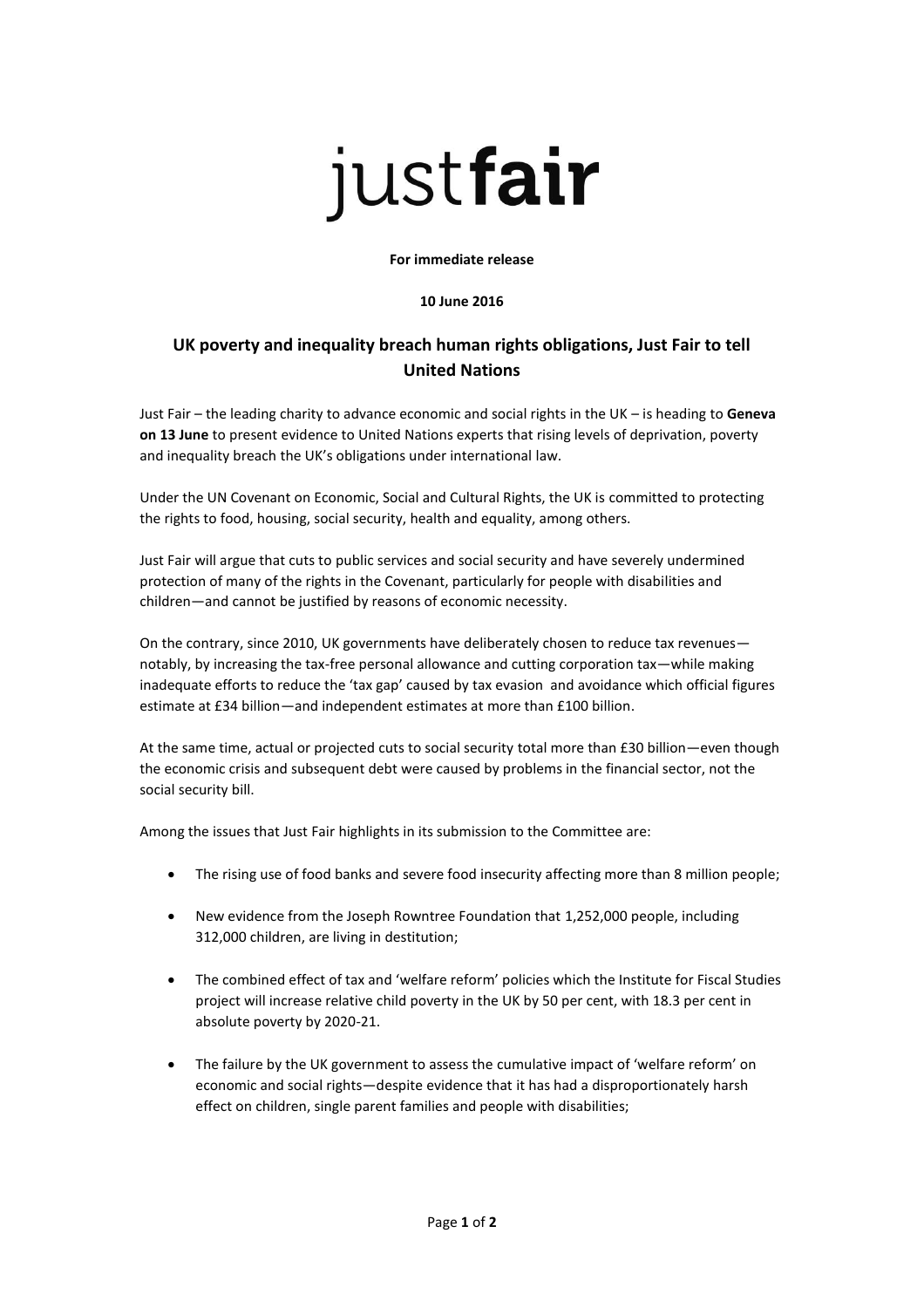# justfair

### **For immediate release**

## **10 June 2016**

# **UK poverty and inequality breach human rights obligations, Just Fair to tell United Nations**

Just Fair – the leading charity to advance economic and social rights in the UK – is heading to **Geneva on 13 June** to present evidence to United Nations experts that rising levels of deprivation, poverty and inequality breach the UK's obligations under international law.

Under the UN Covenant on Economic, Social and Cultural Rights, the UK is committed to protecting the rights to food, housing, social security, health and equality, among others.

Just Fair will argue that cuts to public services and social security and have severely undermined protection of many of the rights in the Covenant, particularly for people with disabilities and children—and cannot be justified by reasons of economic necessity.

On the contrary, since 2010, UK governments have deliberately chosen to reduce tax revenues notably, by increasing the tax-free personal allowance and cutting corporation tax—while making inadequate efforts to reduce the 'tax gap' caused by tax evasion and avoidance which official figures estimate at £34 billion—and independent estimates at more than £100 billion.

At the same time, actual or projected cuts to social security total more than £30 billion—even though the economic crisis and subsequent debt were caused by problems in the financial sector, not the social security bill.

Among the issues that Just Fair highlights in its submission to the Committee are:

- The rising use of food banks and severe food insecurity affecting more than 8 million people;
- New evidence from the Joseph Rowntree Foundation that 1,252,000 people, including 312,000 children, are living in destitution;
- The combined effect of tax and 'welfare reform' policies which the Institute for Fiscal Studies project will increase relative child poverty in the UK by 50 per cent, with 18.3 per cent in absolute poverty by 2020-21.
- The failure by the UK government to assess the cumulative impact of 'welfare reform' on economic and social rights—despite evidence that it has had a disproportionately harsh effect on children, single parent families and people with disabilities;